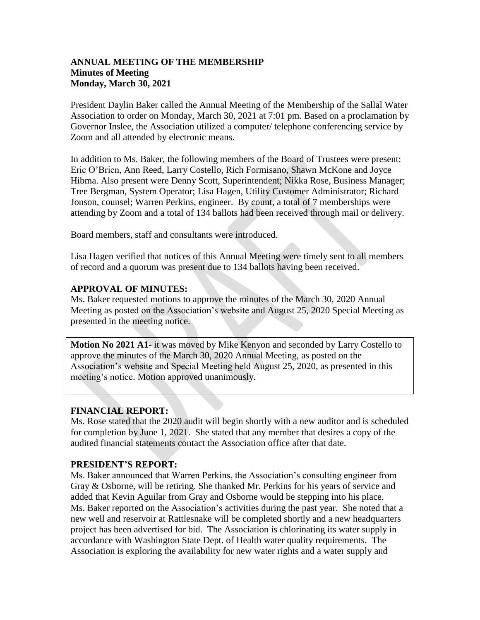### **ANNUAL MEETING OF THE MEMBERSHIP Minutes of Meeting Monday, March 30, 2021**

President Daylin Baker called the Annual Meeting of the Membership of the Sallal Water Association to order on Monday, March 30, 2021 at 7:01 pm. Based on a proclamation by Governor Inslee, the Association utilized a computer/ telephone conferencing service by Zoom and all attended by electronic means.

In addition to Ms. Baker, the following members of the Board of Trustees were present: Eric O'Brien, Ann Reed, Larry Costello, Rich Formisano, Shawn McKone and Joyce Hibma. Also present were Denny Scott, Superintendent; Nikka Rose, Business Manager; Tree Bergman, System Operator; Lisa Hagen, Utility Customer Administrator; Richard Jonson, counsel; Warren Perkins, engineer. By count, a total of 7 memberships were attending by Zoom and a total of 134 ballots had been received through mail or delivery.

Board members, staff and consultants were introduced.

Lisa Hagen verified that notices of this Annual Meeting were timely sent to all members of record and a quorum was present due to 134 ballots having been received.

## **APPROVAL OF MINUTES:**

Ms. Baker requested motions to approve the minutes of the March 30, 2020 Annual Meeting as posted on the Association's website and August 25, 2020 Special Meeting as presented in the meeting notice.

**Motion No 2021 A1-** it was moved by Mike Kenyon and seconded by Larry Costello to approve the minutes of the March 30, 2020 Annual Meeting, as posted on the Association's website and Special Meeting held August 25, 2020, as presented in this meeting's notice. Motion approved unanimously.

# **FINANCIAL REPORT:**

Ms. Rose stated that the 2020 audit will begin shortly with a new auditor and is scheduled for completion by June 1, 2021. She stated that any member that desires a copy of the audited financial statements contact the Association office after that date.

## **PRESIDENT'S REPORT:**

Ms. Baker announced that Warren Perkins, the Association's consulting engineer from Gray & Osborne, will be retiring. She thanked Mr. Perkins for his years of service and added that Kevin Aguilar from Gray and Osborne would be stepping into his place. Ms. Baker reported on the Association's activities during the past year. She noted that a new well and reservoir at Rattlesnake will be completed shortly and a new headquarters project has been advertised for bid. The Association is chlorinating its water supply in accordance with Washington State Dept. of Health water quality requirements. The Association is exploring the availability for new water rights and a water supply and